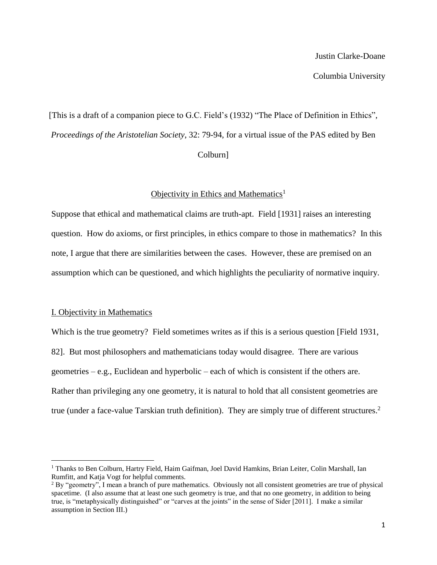[This is a draft of a companion piece to G.C. Field's (1932) "The Place of Definition in Ethics", *Proceedings of the Aristotelian Society*, 32: 79-94, for a virtual issue of the PAS edited by Ben Colburn]

# Objectivity in Ethics and Mathematics<sup>1</sup>

Suppose that ethical and mathematical claims are truth-apt. Field [1931] raises an interesting question. How do axioms, or first principles, in ethics compare to those in mathematics? In this note, I argue that there are similarities between the cases. However, these are premised on an assumption which can be questioned, and which highlights the peculiarity of normative inquiry.

# I. Objectivity in Mathematics

l

Which is the true geometry? Field sometimes writes as if this is a serious question [Field 1931, 82]. But most philosophers and mathematicians today would disagree. There are various geometries – e.g., Euclidean and hyperbolic – each of which is consistent if the others are. Rather than privileging any one geometry, it is natural to hold that all consistent geometries are true (under a face-value Tarskian truth definition). They are simply true of different structures. 2

<sup>&</sup>lt;sup>1</sup> Thanks to Ben Colburn, Hartry Field, Haim Gaifman, Joel David Hamkins, Brian Leiter, Colin Marshall, Ian Rumfitt, and Katja Vogt for helpful comments.

<sup>&</sup>lt;sup>2</sup> By "geometry", I mean a branch of pure mathematics. Obviously not all consistent geometries are true of physical spacetime. (I also assume that at least one such geometry is true, and that no one geometry, in addition to being true, is "metaphysically distinguished" or "carves at the joints" in the sense of Sider [2011]. I make a similar assumption in Section III.)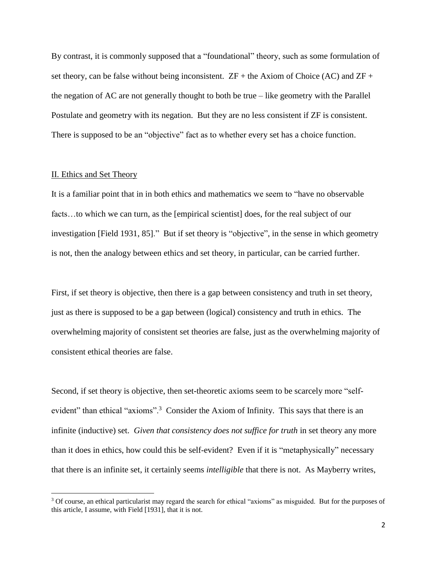By contrast, it is commonly supposed that a "foundational" theory, such as some formulation of set theory, can be false without being inconsistent.  $ZF +$  the Axiom of Choice (AC) and  $ZF +$ the negation of AC are not generally thought to both be true – like geometry with the Parallel Postulate and geometry with its negation. But they are no less consistent if ZF is consistent. There is supposed to be an "objective" fact as to whether every set has a choice function.

# II. Ethics and Set Theory

 $\overline{\phantom{a}}$ 

It is a familiar point that in in both ethics and mathematics we seem to "have no observable facts…to which we can turn, as the [empirical scientist] does, for the real subject of our investigation [Field 1931, 85]." But if set theory is "objective", in the sense in which geometry is not, then the analogy between ethics and set theory, in particular, can be carried further.

First, if set theory is objective, then there is a gap between consistency and truth in set theory, just as there is supposed to be a gap between (logical) consistency and truth in ethics. The overwhelming majority of consistent set theories are false, just as the overwhelming majority of consistent ethical theories are false.

Second, if set theory is objective, then set-theoretic axioms seem to be scarcely more "selfevident" than ethical "axioms".<sup>3</sup> Consider the Axiom of Infinity. This says that there is an infinite (inductive) set. *Given that consistency does not suffice for truth* in set theory any more than it does in ethics, how could this be self-evident? Even if it is "metaphysically" necessary that there is an infinite set, it certainly seems *intelligible* that there is not. As Mayberry writes,

<sup>3</sup> Of course, an ethical particularist may regard the search for ethical "axioms" as misguided. But for the purposes of this article, I assume, with Field [1931], that it is not.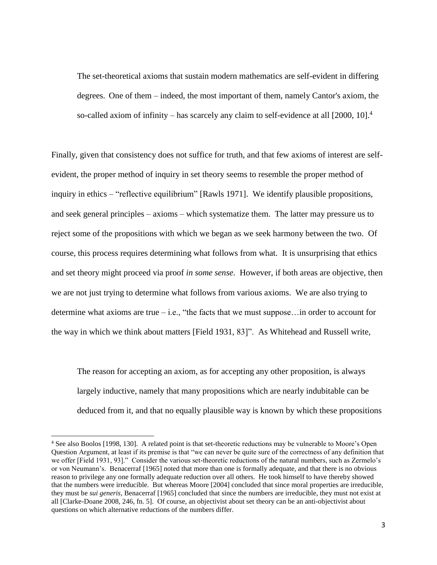The set-theoretical axioms that sustain modern mathematics are self-evident in differing degrees. One of them – indeed, the most important of them, namely Cantor's axiom, the so-called axiom of infinity – has scarcely any claim to self-evidence at all  $[2000, 10]$ .<sup>4</sup>

Finally, given that consistency does not suffice for truth, and that few axioms of interest are selfevident, the proper method of inquiry in set theory seems to resemble the proper method of inquiry in ethics – "reflective equilibrium" [Rawls 1971]. We identify plausible propositions, and seek general principles – axioms – which systematize them. The latter may pressure us to reject some of the propositions with which we began as we seek harmony between the two. Of course, this process requires determining what follows from what. It is unsurprising that ethics and set theory might proceed via proof *in some sense*. However, if both areas are objective, then we are not just trying to determine what follows from various axioms. We are also trying to determine what axioms are true  $-$  i.e., "the facts that we must suppose... in order to account for the way in which we think about matters [Field 1931, 83]". As Whitehead and Russell write,

The reason for accepting an axiom, as for accepting any other proposition, is always largely inductive, namely that many propositions which are nearly indubitable can be deduced from it, and that no equally plausible way is known by which these propositions

 $\overline{\phantom{a}}$ 

<sup>4</sup> See also Boolos [1998, 130]. A related point is that set-theoretic reductions may be vulnerable to Moore's Open Question Argument, at least if its premise is that "we can never be quite sure of the correctness of any definition that we offer [Field 1931, 93]." Consider the various set-theoretic reductions of the natural numbers, such as Zermelo's or von Neumann's. Benacerraf [1965] noted that more than one is formally adequate, and that there is no obvious reason to privilege any one formally adequate reduction over all others. He took himself to have thereby showed that the numbers were irreducible. But whereas Moore [2004] concluded that since moral properties are irreducible, they must be *sui generis*, Benacerraf [1965] concluded that since the numbers are irreducible, they must not exist at all [Clarke-Doane 2008, 246, fn. 5]. Of course, an objectivist about set theory can be an anti-objectivist about questions on which alternative reductions of the numbers differ.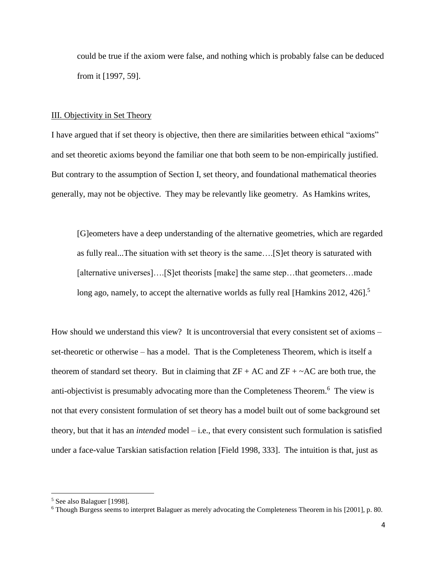could be true if the axiom were false, and nothing which is probably false can be deduced from it [1997, 59].

#### III. Objectivity in Set Theory

I have argued that if set theory is objective, then there are similarities between ethical "axioms" and set theoretic axioms beyond the familiar one that both seem to be non-empirically justified. But contrary to the assumption of Section I, set theory, and foundational mathematical theories generally, may not be objective. They may be relevantly like geometry. As Hamkins writes,

[G]eometers have a deep understanding of the alternative geometries, which are regarded as fully real...The situation with set theory is the same….[S]et theory is saturated with [alternative universes]….[S]et theorists [make] the same step…that geometers…made long ago, namely, to accept the alternative worlds as fully real [Hamkins 2012, 426].<sup>5</sup>

How should we understand this view? It is uncontroversial that every consistent set of axioms – set-theoretic or otherwise – has a model. That is the Completeness Theorem, which is itself a theorem of standard set theory. But in claiming that  $ZF + AC$  and  $ZF + \sim AC$  are both true, the anti-objectivist is presumably advocating more than the Completeness Theorem.<sup>6</sup> The view is not that every consistent formulation of set theory has a model built out of some background set theory, but that it has an *intended* model – i.e., that every consistent such formulation is satisfied under a face-value Tarskian satisfaction relation [Field 1998, 333]. The intuition is that, just as

 $\overline{\phantom{a}}$ 

<sup>5</sup> See also Balaguer [1998].

<sup>6</sup> Though Burgess seems to interpret Balaguer as merely advocating the Completeness Theorem in his [2001], p. 80.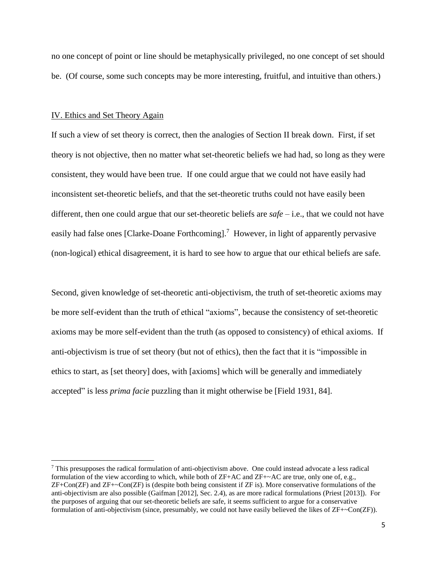no one concept of point or line should be metaphysically privileged, no one concept of set should be. (Of course, some such concepts may be more interesting, fruitful, and intuitive than others.)

#### IV. Ethics and Set Theory Again

l

If such a view of set theory is correct, then the analogies of Section II break down. First, if set theory is not objective, then no matter what set-theoretic beliefs we had had, so long as they were consistent, they would have been true. If one could argue that we could not have easily had inconsistent set-theoretic beliefs, and that the set-theoretic truths could not have easily been different, then one could argue that our set-theoretic beliefs are *safe* – i.e., that we could not have easily had false ones [Clarke-Doane Forthcoming].<sup>7</sup> However, in light of apparently pervasive (non-logical) ethical disagreement, it is hard to see how to argue that our ethical beliefs are safe.

Second, given knowledge of set-theoretic anti-objectivism, the truth of set-theoretic axioms may be more self-evident than the truth of ethical "axioms", because the consistency of set-theoretic axioms may be more self-evident than the truth (as opposed to consistency) of ethical axioms. If anti-objectivism is true of set theory (but not of ethics), then the fact that it is "impossible in ethics to start, as [set theory] does, with [axioms] which will be generally and immediately accepted" is less *prima facie* puzzling than it might otherwise be [Field 1931, 84].

<sup>7</sup> This presupposes the radical formulation of anti-objectivism above. One could instead advocate a less radical formulation of the view according to which, while both of ZF+AC and ZF+~AC are true, only one of, e.g., ZF+Con(ZF) and ZF+~Con(ZF) is (despite both being consistent if ZF is). More conservative formulations of the anti-objectivism are also possible (Gaifman [2012], Sec. 2.4), as are more radical formulations (Priest [2013]). For the purposes of arguing that our set-theoretic beliefs are safe, it seems sufficient to argue for a conservative formulation of anti-objectivism (since, presumably, we could not have easily believed the likes of ZF+~Con(ZF)).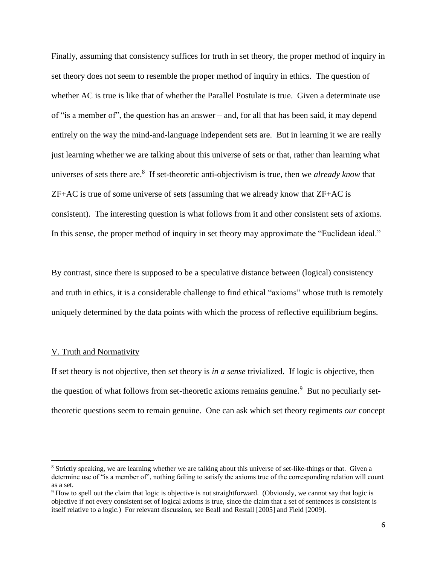Finally, assuming that consistency suffices for truth in set theory, the proper method of inquiry in set theory does not seem to resemble the proper method of inquiry in ethics. The question of whether AC is true is like that of whether the Parallel Postulate is true. Given a determinate use of "is a member of", the question has an answer – and, for all that has been said, it may depend entirely on the way the mind-and-language independent sets are. But in learning it we are really just learning whether we are talking about this universe of sets or that, rather than learning what universes of sets there are.<sup>8</sup> If set-theoretic anti-objectivism is true, then we *already know* that ZF+AC is true of some universe of sets (assuming that we already know that ZF+AC is consistent). The interesting question is what follows from it and other consistent sets of axioms. In this sense, the proper method of inquiry in set theory may approximate the "Euclidean ideal."

By contrast, since there is supposed to be a speculative distance between (logical) consistency and truth in ethics, it is a considerable challenge to find ethical "axioms" whose truth is remotely uniquely determined by the data points with which the process of reflective equilibrium begins.

### V. Truth and Normativity

l

If set theory is not objective, then set theory is *in a sense* trivialized. If logic is objective, then the question of what follows from set-theoretic axioms remains genuine.<sup>9</sup> But no peculiarly settheoretic questions seem to remain genuine. One can ask which set theory regiments *our* concept

<sup>8</sup> Strictly speaking, we are learning whether we are talking about this universe of set-like-things or that. Given a determine use of "is a member of", nothing failing to satisfy the axioms true of the corresponding relation will count as a set.

<sup>9</sup> How to spell out the claim that logic is objective is not straightforward. (Obviously, we cannot say that logic is objective if not every consistent set of logical axioms is true, since the claim that a set of sentences is consistent is itself relative to a logic.) For relevant discussion, see Beall and Restall [2005] and Field [2009].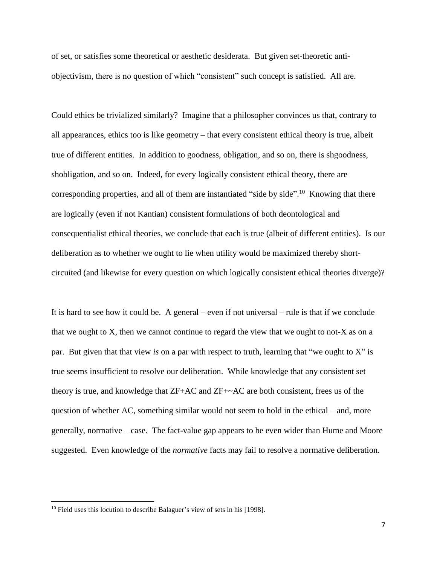of set, or satisfies some theoretical or aesthetic desiderata. But given set-theoretic antiobjectivism, there is no question of which "consistent" such concept is satisfied. All are.

Could ethics be trivialized similarly? Imagine that a philosopher convinces us that, contrary to all appearances, ethics too is like geometry – that every consistent ethical theory is true, albeit true of different entities. In addition to goodness, obligation, and so on, there is shgoodness, shobligation, and so on. Indeed, for every logically consistent ethical theory, there are corresponding properties, and all of them are instantiated "side by side".<sup>10</sup> Knowing that there are logically (even if not Kantian) consistent formulations of both deontological and consequentialist ethical theories, we conclude that each is true (albeit of different entities). Is our deliberation as to whether we ought to lie when utility would be maximized thereby shortcircuited (and likewise for every question on which logically consistent ethical theories diverge)?

It is hard to see how it could be. A general – even if not universal – rule is that if we conclude that we ought to X, then we cannot continue to regard the view that we ought to not-X as on a par. But given that that view *is* on a par with respect to truth, learning that "we ought to X" is true seems insufficient to resolve our deliberation. While knowledge that any consistent set theory is true, and knowledge that ZF+AC and ZF+~AC are both consistent, frees us of the question of whether AC, something similar would not seem to hold in the ethical – and, more generally, normative – case. The fact-value gap appears to be even wider than Hume and Moore suggested. Even knowledge of the *normative* facts may fail to resolve a normative deliberation.

 $\overline{\phantom{a}}$ 

<sup>&</sup>lt;sup>10</sup> Field uses this locution to describe Balaguer's view of sets in his [1998].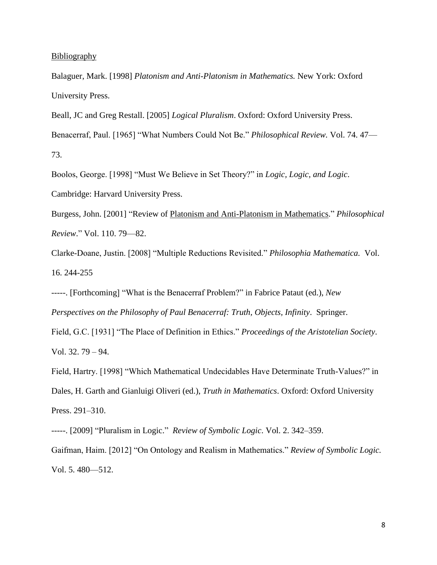### Bibliography

Balaguer, Mark. [1998] *Platonism and Anti-Platonism in Mathematics.* New York: Oxford University Press.

Beall, JC and Greg Restall. [2005] *Logical Pluralism*. Oxford: Oxford University Press. Benacerraf, Paul. [1965] "What Numbers Could Not Be." *Philosophical Review.* Vol. 74. 47— 73.

Boolos, George. [1998] "Must We Believe in Set Theory?" in *Logic, Logic, and Logic*. Cambridge: Harvard University Press.

Burgess, John. [2001] "Review of Platonism and Anti-Platonism in Mathematics." *Philosophical Review*." Vol. 110. 79—82.

Clarke-Doane, Justin. [2008] "Multiple Reductions Revisited." *Philosophia Mathematica.* Vol. 16. 244-255

-----. [Forthcoming] "What is the Benacerraf Problem?" in Fabrice Pataut (ed.), *New Perspectives on the Philosophy of Paul Benacerraf: Truth, Objects, Infinity*. Springer.

Field, G.C. [1931] "The Place of Definition in Ethics." *Proceedings of the Aristotelian Society*. Vol. 32. 79 – 94.

Field, Hartry. [1998] "Which Mathematical Undecidables Have Determinate Truth-Values?" in Dales, H. Garth and Gianluigi Oliveri (ed.), *Truth in Mathematics*. Oxford: Oxford University Press. 291–310.

-----. [2009] "Pluralism in Logic." *Review of Symbolic Logic*. Vol. 2. 342–359.

Gaifman, Haim. [2012] "On Ontology and Realism in Mathematics." *Review of Symbolic Logic.*  Vol. 5. 480—512.